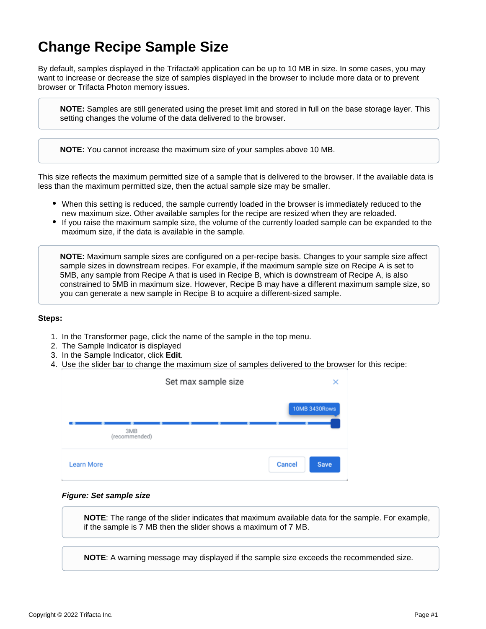## **Change Recipe Sample Size**

By default, samples displayed in the Trifacta® application can be up to 10 MB in size. In some cases, you may want to increase or decrease the size of samples displayed in the browser to include more data or to prevent browser or Trifacta Photon memory issues.

**NOTE:** Samples are still generated using the preset limit and stored in full on the base storage layer. This setting changes the volume of the data delivered to the browser.

**NOTE:** You cannot increase the maximum size of your samples above 10 MB.

This size reflects the maximum permitted size of a sample that is delivered to the browser. If the available data is less than the maximum permitted size, then the actual sample size may be smaller.

- When this setting is reduced, the sample currently loaded in the browser is immediately reduced to the new maximum size. Other available samples for the recipe are resized when they are reloaded.
- If you raise the maximum sample size, the volume of the currently loaded sample can be expanded to the maximum size, if the data is available in the sample.

**NOTE:** Maximum sample sizes are configured on a per-recipe basis. Changes to your sample size affect sample sizes in downstream recipes. For example, if the maximum sample size on Recipe A is set to 5MB, any sample from Recipe A that is used in Recipe B, which is downstream of Recipe A, is also constrained to 5MB in maximum size. However, Recipe B may have a different maximum sample size, so you can generate a new sample in Recipe B to acquire a different-sized sample.

## **Steps:**

- 1. In the Transformer page, click the name of the sample in the top menu.
- 2. The Sample Indicator is displayed
- 3. In the Sample Indicator, click **Edit**.
- 4. Use the slider bar to change the maximum size of samples delivered to the browser for this recipe:



## **Figure: Set sample size**

**NOTE**: The range of the slider indicates that maximum available data for the sample. For example, if the sample is 7 MB then the slider shows a maximum of 7 MB.

**NOTE**: A warning message may displayed if the sample size exceeds the recommended size.